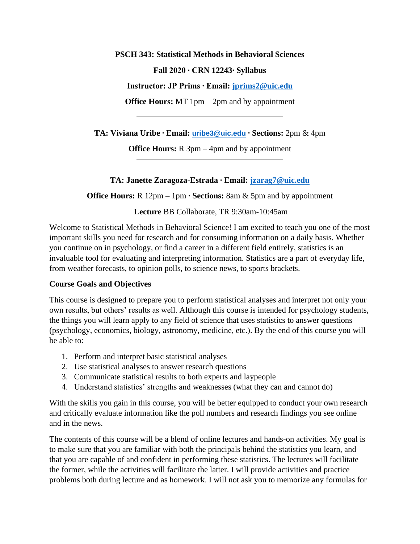**PSCH 343: Statistical Methods in Behavioral Sciences**

**Fall 2020 ∙ CRN 12243∙ Syllabus**

**Instructor: JP Prims ∙ Email: [jprims2@uic.edu](mailto:jprims2@uic.edu)**

**Office Hours:** MT 1pm – 2pm and by appointment

**TA: Viviana Uribe ∙ Email: [uribe3@uic.edu](mailto:uribe3@uic.edu) ∙ Sections:** 2pm & 4pm

**Office Hours:** R 3pm – 4pm and by appointment

# **TA: Janette Zaragoza-Estrada ∙ Email: [jzarag7@uic.edu](mailto:jzarag7@uic.edu)**

**Office Hours:** R 12pm – 1pm **∙ Sections:** 8am & 5pm and by appointment

**Lecture** BB Collaborate, TR 9:30am-10:45am

Welcome to Statistical Methods in Behavioral Science! I am excited to teach you one of the most important skills you need for research and for consuming information on a daily basis. Whether you continue on in psychology, or find a career in a different field entirely, statistics is an invaluable tool for evaluating and interpreting information. Statistics are a part of everyday life, from weather forecasts, to opinion polls, to science news, to sports brackets.

# **Course Goals and Objectives**

This course is designed to prepare you to perform statistical analyses and interpret not only your own results, but others' results as well. Although this course is intended for psychology students, the things you will learn apply to any field of science that uses statistics to answer questions (psychology, economics, biology, astronomy, medicine, etc.). By the end of this course you will be able to:

- 1. Perform and interpret basic statistical analyses
- 2. Use statistical analyses to answer research questions
- 3. Communicate statistical results to both experts and laypeople
- 4. Understand statistics' strengths and weaknesses (what they can and cannot do)

With the skills you gain in this course, you will be better equipped to conduct your own research and critically evaluate information like the poll numbers and research findings you see online and in the news.

The contents of this course will be a blend of online lectures and hands-on activities. My goal is to make sure that you are familiar with both the principals behind the statistics you learn, and that you are capable of and confident in performing these statistics. The lectures will facilitate the former, while the activities will facilitate the latter. I will provide activities and practice problems both during lecture and as homework. I will not ask you to memorize any formulas for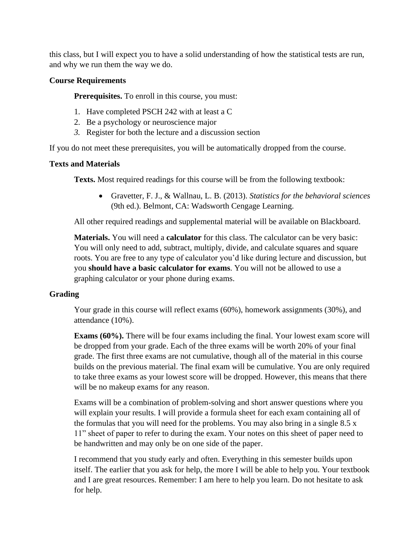this class, but I will expect you to have a solid understanding of how the statistical tests are run, and why we run them the way we do.

#### **Course Requirements**

**Prerequisites.** To enroll in this course, you must:

- 1. Have completed PSCH 242 with at least a C
- 2. Be a psychology or neuroscience major
- *3.* Register for both the lecture and a discussion section

If you do not meet these prerequisites, you will be automatically dropped from the course.

#### **Texts and Materials**

**Texts.** Most required readings for this course will be from the following textbook:

• Gravetter, F. J., & Wallnau, L. B. (2013). *Statistics for the behavioral sciences*  (9th ed.). Belmont, CA: Wadsworth Cengage Learning.

All other required readings and supplemental material will be available on Blackboard.

**Materials.** You will need a **calculator** for this class. The calculator can be very basic: You will only need to add, subtract, multiply, divide, and calculate squares and square roots. You are free to any type of calculator you'd like during lecture and discussion, but you **should have a basic calculator for exams**. You will not be allowed to use a graphing calculator or your phone during exams.

# **Grading**

Your grade in this course will reflect exams (60%), homework assignments (30%), and attendance (10%).

**Exams (60%).** There will be four exams including the final. Your lowest exam score will be dropped from your grade. Each of the three exams will be worth 20% of your final grade. The first three exams are not cumulative, though all of the material in this course builds on the previous material. The final exam will be cumulative. You are only required to take three exams as your lowest score will be dropped. However, this means that there will be no makeup exams for any reason.

Exams will be a combination of problem-solving and short answer questions where you will explain your results. I will provide a formula sheet for each exam containing all of the formulas that you will need for the problems. You may also bring in a single 8.5 x 11" sheet of paper to refer to during the exam. Your notes on this sheet of paper need to be handwritten and may only be on one side of the paper.

I recommend that you study early and often. Everything in this semester builds upon itself. The earlier that you ask for help, the more I will be able to help you. Your textbook and I are great resources. Remember: I am here to help you learn. Do not hesitate to ask for help.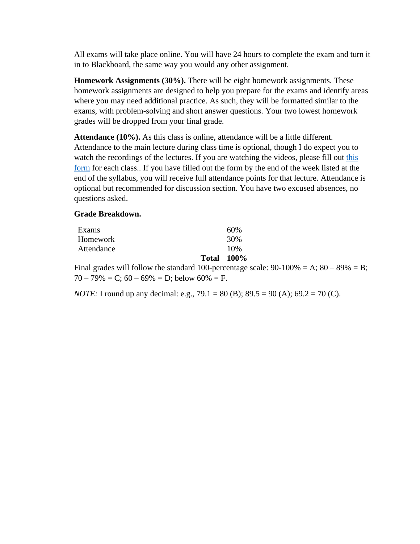All exams will take place online. You will have 24 hours to complete the exam and turn it in to Blackboard, the same way you would any other assignment.

**Homework Assignments (30%).** There will be eight homework assignments. These homework assignments are designed to help you prepare for the exams and identify areas where you may need additional practice. As such, they will be formatted similar to the exams, with problem-solving and short answer questions. Your two lowest homework grades will be dropped from your final grade.

**Attendance (10%).** As this class is online, attendance will be a little different. Attendance to the main lecture during class time is optional, though I do expect you to watch the recordings of the lectures. If you are watching the videos, please fill out this [form](https://docs.google.com/forms/d/e/1FAIpQLSf2tSVUV1uE8Tx9r-Y0Z2Ft3HHpCHbJA0R66el9yUeXq45zpQ/viewform?usp=sf_link) for each class.. If you have filled out the form by the end of the week listed at the end of the syllabus, you will receive full attendance points for that lecture. Attendance is optional but recommended for discussion section. You have two excused absences, no questions asked.

#### **Grade Breakdown.**

| Exams      | 60%               |
|------------|-------------------|
| Homework   | 30%               |
| Attendance | 10%               |
|            | <b>Total 100%</b> |

Final grades will follow the standard 100-percentage scale:  $90-100\% = A$ ;  $80-89\% = B$ ;  $70 - 79\% = C$ ;  $60 - 69\% = D$ ; below  $60\% = F$ .

*NOTE:* I round up any decimal: e.g., 79.1 = 80 (B); 89.5 = 90 (A); 69.2 = 70 (C).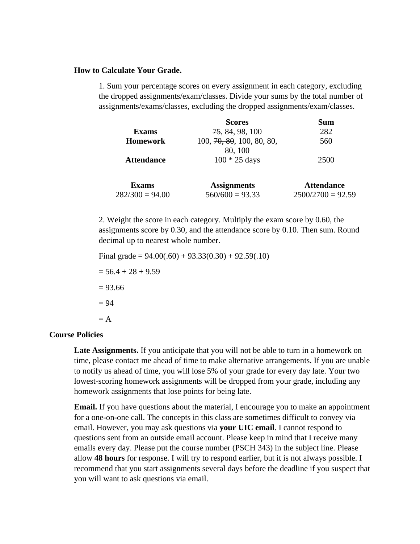#### **How to Calculate Your Grade.**

1. Sum your percentage scores on every assignment in each category, excluding the dropped assignments/exam/classes. Divide your sums by the total number of assignments/exams/classes, excluding the dropped assignments/exam/classes.

|                   | <b>Scores</b>             | Sum                 |
|-------------------|---------------------------|---------------------|
| <b>Exams</b>      | 75, 84, 98, 100           | 282                 |
| <b>Homework</b>   | 100, 70, 80, 100, 80, 80, | 560                 |
|                   | 80, 100                   |                     |
| <b>Attendance</b> | $100 * 25$ days           | 2500                |
| <b>Exams</b>      | <b>Assignments</b>        | <b>Attendance</b>   |
| $282/300 = 94.00$ | $560/600 = 93.33$         | $2500/2700 = 92.59$ |

2. Weight the score in each category. Multiply the exam score by 0.60, the assignments score by 0.30, and the attendance score by 0.10. Then sum. Round decimal up to nearest whole number.

```
Final grade = 94.00(.60) + 93.33(0.30) + 92.59(.10)= 56.4 + 28 + 9.59= 93.66= 94= A
```
#### **Course Policies**

**Late Assignments.** If you anticipate that you will not be able to turn in a homework on time, please contact me ahead of time to make alternative arrangements. If you are unable to notify us ahead of time, you will lose 5% of your grade for every day late. Your two lowest-scoring homework assignments will be dropped from your grade, including any homework assignments that lose points for being late.

**Email.** If you have questions about the material, I encourage you to make an appointment for a one-on-one call. The concepts in this class are sometimes difficult to convey via email. However, you may ask questions via **your UIC email**. I cannot respond to questions sent from an outside email account. Please keep in mind that I receive many emails every day. Please put the course number (PSCH 343) in the subject line. Please allow **48 hours** for response. I will try to respond earlier, but it is not always possible. I recommend that you start assignments several days before the deadline if you suspect that you will want to ask questions via email.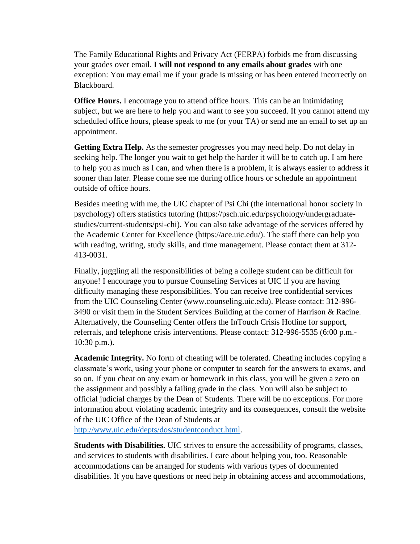The Family Educational Rights and Privacy Act (FERPA) forbids me from discussing your grades over email. **I will not respond to any emails about grades** with one exception: You may email me if your grade is missing or has been entered incorrectly on Blackboard.

**Office Hours.** I encourage you to attend office hours. This can be an intimidating subject, but we are here to help you and want to see you succeed. If you cannot attend my scheduled office hours, please speak to me (or your TA) or send me an email to set up an appointment.

**Getting Extra Help.** As the semester progresses you may need help. Do not delay in seeking help. The longer you wait to get help the harder it will be to catch up. I am here to help you as much as I can, and when there is a problem, it is always easier to address it sooner than later. Please come see me during office hours or schedule an appointment outside of office hours.

Besides meeting with me, the UIC chapter of Psi Chi (the international honor society in psychology) offers statistics tutoring (https://psch.uic.edu/psychology/undergraduatestudies/current-students/psi-chi). You can also take advantage of the services offered by the Academic Center for Excellence (https://ace.uic.edu/). The staff there can help you with reading, writing, study skills, and time management. Please contact them at 312- 413-0031.

Finally, juggling all the responsibilities of being a college student can be difficult for anyone! I encourage you to pursue Counseling Services at UIC if you are having difficulty managing these responsibilities. You can receive free confidential services from the UIC Counseling Center (www.counseling.uic.edu). Please contact: 312-996- 3490 or visit them in the Student Services Building at the corner of Harrison & Racine. Alternatively, the Counseling Center offers the InTouch Crisis Hotline for support, referrals, and telephone crisis interventions. Please contact: 312-996-5535 (6:00 p.m.- 10:30 p.m.).

**Academic Integrity.** No form of cheating will be tolerated. Cheating includes copying a classmate's work, using your phone or computer to search for the answers to exams, and so on. If you cheat on any exam or homework in this class, you will be given a zero on the assignment and possibly a failing grade in the class. You will also be subject to official judicial charges by the Dean of Students. There will be no exceptions. For more information about violating academic integrity and its consequences, consult the website of the UIC Office of the Dean of Students at

[http://www.uic.edu/depts/dos/studentconduct.html.](http://www.uic.edu/depts/dos/studentconduct.html)

**Students with Disabilities.** UIC strives to ensure the accessibility of programs, classes, and services to students with disabilities. I care about helping you, too. Reasonable accommodations can be arranged for students with various types of documented disabilities. If you have questions or need help in obtaining access and accommodations,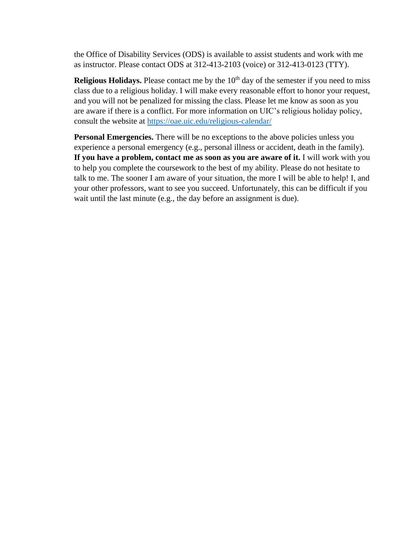the Office of Disability Services (ODS) is available to assist students and work with me as instructor. Please contact ODS at 312-413-2103 (voice) or 312-413-0123 (TTY).

**Religious Holidays.** Please contact me by the 10<sup>th</sup> day of the semester if you need to miss class due to a religious holiday. I will make every reasonable effort to honor your request, and you will not be penalized for missing the class. Please let me know as soon as you are aware if there is a conflict. For more information on UIC's religious holiday policy, consult the website at<https://oae.uic.edu/religious-calendar/>

**Personal Emergencies.** There will be no exceptions to the above policies unless you experience a personal emergency (e.g., personal illness or accident, death in the family). If you have a problem, contact me as soon as you are aware of it. I will work with you to help you complete the coursework to the best of my ability. Please do not hesitate to talk to me. The sooner I am aware of your situation, the more I will be able to help! I, and your other professors, want to see you succeed. Unfortunately, this can be difficult if you wait until the last minute (e.g., the day before an assignment is due).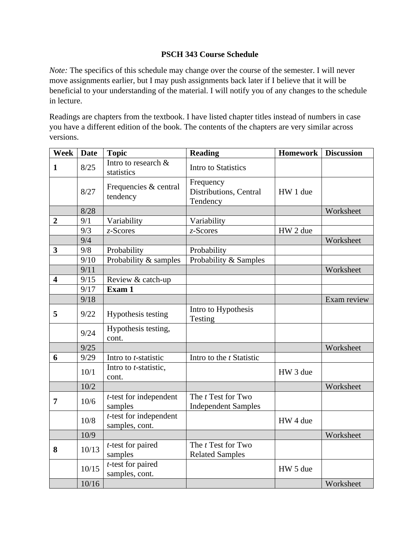# **PSCH 343 Course Schedule**

*Note:* The specifics of this schedule may change over the course of the semester. I will never move assignments earlier, but I may push assignments back later if I believe that it will be beneficial to your understanding of the material. I will notify you of any changes to the schedule in lecture.

Readings are chapters from the textbook. I have listed chapter titles instead of numbers in case you have a different edition of the book. The contents of the chapters are very similar across versions.

| <b>Week</b>             | <b>Date</b> | <b>Topic</b>                                | <b>Reading</b>                                          | <b>Homework</b> | <b>Discussion</b> |
|-------------------------|-------------|---------------------------------------------|---------------------------------------------------------|-----------------|-------------------|
| $\mathbf{1}$            | 8/25        | Intro to research &<br>statistics           | <b>Intro to Statistics</b>                              |                 |                   |
|                         | 8/27        | Frequencies & central<br>tendency           | Frequency<br>Distributions, Central<br>Tendency         | HW 1 due        |                   |
|                         | 8/28        |                                             |                                                         |                 | Worksheet         |
| $\boldsymbol{2}$        | 9/1         | Variability                                 | Variability                                             |                 |                   |
|                         | 9/3         | $z$ -Scores                                 | $z$ -Scores                                             | HW 2 due        |                   |
|                         | 9/4         |                                             |                                                         |                 | Worksheet         |
| $\overline{\mathbf{3}}$ | 9/8         | Probability                                 | Probability                                             |                 |                   |
|                         | 9/10        | Probability & samples                       | Probability & Samples                                   |                 |                   |
|                         | 9/11        |                                             |                                                         |                 | Worksheet         |
| $\overline{\mathbf{4}}$ | 9/15        | Review & catch-up                           |                                                         |                 |                   |
|                         | 9/17        | Exam 1                                      |                                                         |                 |                   |
|                         | 9/18        |                                             |                                                         |                 | Exam review       |
| 5                       | 9/22        | Hypothesis testing                          | Intro to Hypothesis<br>Testing                          |                 |                   |
|                         | 9/24        | Hypothesis testing,<br>cont.                |                                                         |                 |                   |
|                         | 9/25        |                                             |                                                         |                 | Worksheet         |
| 6                       | 9/29        | Intro to <i>t</i> -statistic                | Intro to the <i>t</i> Statistic                         |                 |                   |
|                         | 10/1        | Intro to <i>t</i> -statistic,<br>cont.      |                                                         | HW 3 due        |                   |
|                         | 10/2        |                                             |                                                         |                 | Worksheet         |
| $\overline{7}$          | 10/6        | $t$ -test for independent<br>samples        | The <i>t</i> Test for Two<br><b>Independent Samples</b> |                 |                   |
|                         | 10/8        | $t$ -test for independent<br>samples, cont. |                                                         | HW 4 due        |                   |
|                         | 10/9        |                                             |                                                         |                 | Worksheet         |
| 8                       | 10/13       | $t$ -test for paired<br>samples             | The <i>t</i> Test for Two<br><b>Related Samples</b>     |                 |                   |
|                         | 10/15       | $t$ -test for paired<br>samples, cont.      |                                                         | HW 5 due        |                   |
|                         | 10/16       |                                             |                                                         |                 | Worksheet         |